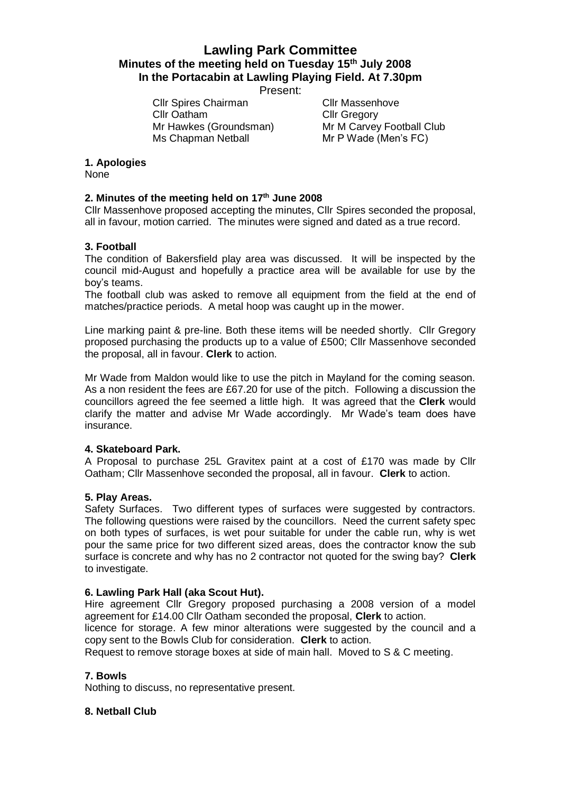# **Lawling Park Committee Minutes of the meeting held on Tuesday 15th July 2008 In the Portacabin at Lawling Playing Field. At 7.30pm**

Present:

Cllr Spires Chairman Cllr Massenhove Cllr Oatham Cllr Gregory Ms Chapman Netball Mr P Wade (Men's FC)

Mr Hawkes (Groundsman) Mr M Carvey Football Club

## **1. Apologies**

None

## **2. Minutes of the meeting held on 17th June 2008**

Cllr Massenhove proposed accepting the minutes, Cllr Spires seconded the proposal, all in favour, motion carried. The minutes were signed and dated as a true record.

## **3. Football**

The condition of Bakersfield play area was discussed. It will be inspected by the council mid-August and hopefully a practice area will be available for use by the boy's teams.

The football club was asked to remove all equipment from the field at the end of matches/practice periods. A metal hoop was caught up in the mower.

Line marking paint & pre-line. Both these items will be needed shortly. Cllr Gregory proposed purchasing the products up to a value of £500; Cllr Massenhove seconded the proposal, all in favour. **Clerk** to action.

Mr Wade from Maldon would like to use the pitch in Mayland for the coming season. As a non resident the fees are £67.20 for use of the pitch. Following a discussion the councillors agreed the fee seemed a little high. It was agreed that the **Clerk** would clarify the matter and advise Mr Wade accordingly. Mr Wade's team does have insurance.

#### **4. Skateboard Park.**

A Proposal to purchase 25L Gravitex paint at a cost of £170 was made by Cllr Oatham; Cllr Massenhove seconded the proposal, all in favour. **Clerk** to action.

#### **5. Play Areas.**

Safety Surfaces. Two different types of surfaces were suggested by contractors. The following questions were raised by the councillors. Need the current safety spec on both types of surfaces, is wet pour suitable for under the cable run, why is wet pour the same price for two different sized areas, does the contractor know the sub surface is concrete and why has no 2 contractor not quoted for the swing bay? **Clerk** to investigate.

#### **6. Lawling Park Hall (aka Scout Hut).**

Hire agreement Cllr Gregory proposed purchasing a 2008 version of a model agreement for £14.00 Cllr Oatham seconded the proposal, **Clerk** to action.

licence for storage. A few minor alterations were suggested by the council and a copy sent to the Bowls Club for consideration. **Clerk** to action.

Request to remove storage boxes at side of main hall. Moved to S & C meeting.

### **7. Bowls**

Nothing to discuss, no representative present.

#### **8. Netball Club**